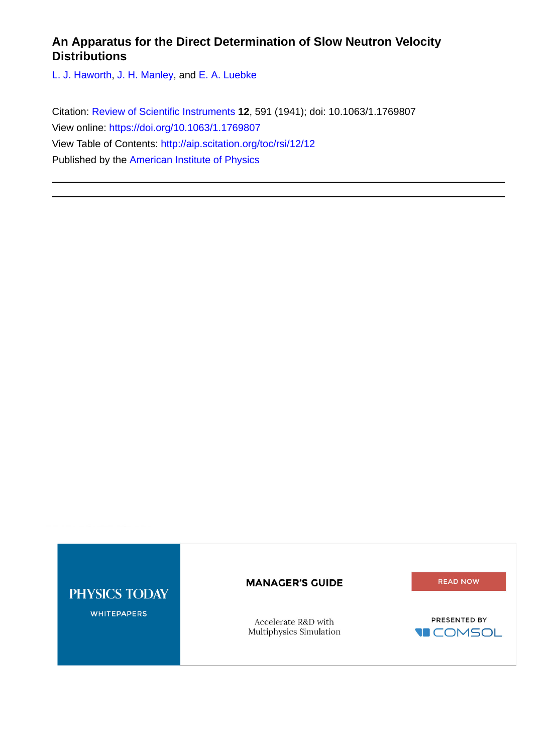# **An Apparatus for the Direct Determination of Slow Neutron Velocity Distributions**

[L. J. Haworth](http://aip.scitation.org/author/Haworth%2C+L+J), [J. H. Manley](http://aip.scitation.org/author/Manley%2C+J+H), and [E. A. Luebke](http://aip.scitation.org/author/Luebke%2C+E+A)

Citation: [Review of Scientific Instruments](/loi/rsi) **12**, 591 (1941); doi: 10.1063/1.1769807 View online: <https://doi.org/10.1063/1.1769807> View Table of Contents: <http://aip.scitation.org/toc/rsi/12/12> Published by the [American Institute of Physics](http://aip.scitation.org/publisher/)

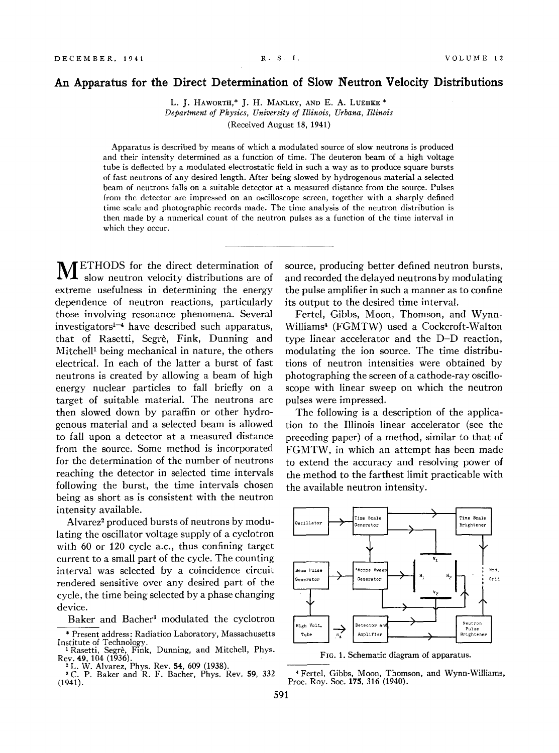## **An Apparatus for the Direct Determination of Slow Neutron Velocity Distributions**

L. J. HAWORTH,\* J. H. MANLEY, AND E. A. LUEBKE \* *Department of Physics, University of Illinois, Urbana, Illinois*  (Received August 18, 1941)

Apparatus is described by means of which a modulated source of slow neutrons is produced and their intensity determined as a function of time. The deuteron beam of a high voltage tube is deflected by a modulated electrostatic field in such a way as to produce square bursts of fast neutrons of any desired length. After being slowed by hydrogenous material a selected beam of neutrons falls on a suitable detector at a measured distance from the source. Pulses from the detector are impressed on an oscilloscope screen, together with a sharply defined time scale and photographic records made. The time analysis of the neutron distribution is then made by a numerical count of the neutron pulses as a function of the time interval in which they occur.

METHODS for the direct determination of slow neutron velocity distributions are of extreme usefulness in determining the energy dependence of neutron reactions, particularly those involving resonance phenomena. Several investigators<sup>1-4</sup> have described such apparatus, that of Rasetti, Segre, Fink, Dunning and Mitchell<sup>1</sup> being mechanical in nature, the others electrical. In each of the latter a burst of fast neutrons is created by allowing a beam of high energy nuclear particles to fall briefly on a target of suitable material. The neutrons are then slowed down by paraffin or other hydrogenous material and a selected beam is allowed to fall upon a detector at a measured distance from the source. Some method is incorporated for the determination of the number of neutrons reaching the detector in selected time intervals following the burst, the time intervals chosen being as short as is consistent with the neutron intensity available.

Alvarez<sup>2</sup> produced bursts of neutrons by modulating the oscillator voltage supply of a cyclotron with 60 or 120 cycle a.c., thus confining target current to a small part of the cycle. The counting interval was selected by a coincidence circuit rendered sensitive over any desired part of the cycle, the time being selected by a phase changing device.

Baker and Bacher3 modulated the cyclotron

source, producing better defined neutron bursts, and recorded the delayed neutrons by modulating the pulse amplifier in such a manner as to confine its output to the desired time interval.

Fertel, Gibbs, Moon, Thomson, and Wynn-Williams4 (FGMTW) used a Cockcroft-Walton type linear accelerator and the D-D reaction, modulating the ion source. The time distributions of neutron intensities were obtained by photographing the screen of a cathode-ray oscilloscope with linear sweep on which the neutron pulses were impressed.

The following is a description of the application to the Illinois linear accelerator (see the preceding paper) of a method, similar to that of FGMTW, in which an attempt has been made to extend the accuracy and resolving power of the method to the farthest limit practicable with the available neutron intensity.



FIG. 1. Schematic diagram of apparatus.

4 Fertel, Gibbs, Moon, Thomson, and Wynn-Williams, Proc. Roy. Soc. 175, 316 (1940).

<sup>\*</sup> Present address: Radiation Laboratory, Massachusetts

<sup>&</sup>lt;sup>1</sup> Rasetti, Segrè, Fink, Dunning, and Mitchell, Phys.<br>Rev. **49**, 104 (1936). <sup>2</sup> L. W. Alvarez, Phys. Rev. 54, 609 (1938). <sup>3</sup> C. P. Baker and R. F. Bacher, Phys. Rev. 59, 332

<sup>(1941).</sup>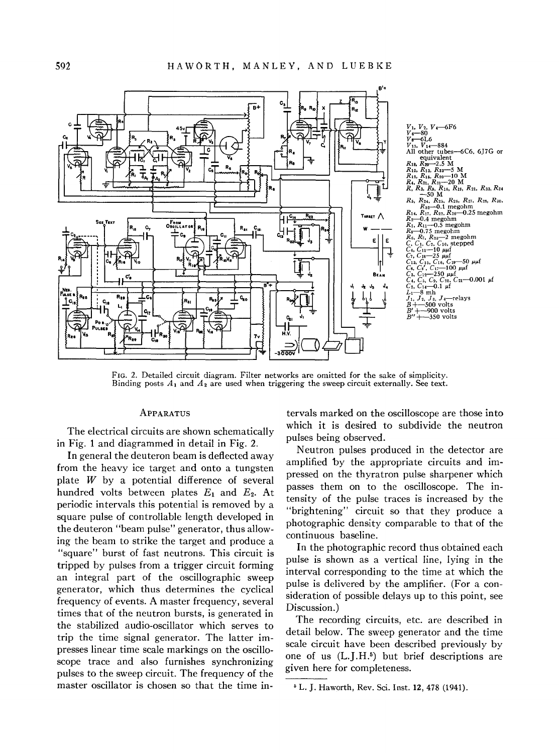

FIG. 2. Detailed circuit diagram. Filter networks are omitted for the sake of simplicity. Binding posts  $A_1$  and  $A_2$  are used when triggering the sweep circuit externally. See text.

## APPARATUS

The electrical circuits are shown schematically in Fig. 1 and diagrammed in detail in Fig. 2.

**In** general the deuteron beam is deflected away from the heavy ice target and onto a tungsten plate  $W$  by a potential difference of several hundred volts between plates E, and E*2•* At periodic intervals this potential is removed by a square pulse of controllable length developed in the deuteron "beam pulse" generator, thus allowing the beam to strike the target and produce a "square" burst of fast neutrons. This circuit is tripped by pulses from a trigger circuit forming an integral part of the oscillographic sweep generator, which thus determines the cyclical frequency of events. A master frequency, several times that of the neutron bursts, is generated in the stabilized audio-oscillator which serves to trip the time signal generator. The latter impresses linear time scale markings on the osciIIoscope trace and also furnishes synchronizing pulses to the sweep circuit. The frequency of the master oscillator is chosen so that the time intervals marked on the oscilloscope are those into which it is desired to subdivide the neutron pulses being observed.

Neutron pulses produced in the detector are amplified by the appropriate circuits and impressed on the thyratron pulse sharpener which passes them on to the oscilloscope, The intensity of the pulse traces is increased by the "brightening" circuit so that they produce a photographic density comparable to that of the continuous baseline.

**In** the photographic record thus obtained each pulse is shown as a vertical line, lying in the interval corresponding to the time at which the pulse is delivered by the amplifier. (For a consideration of possible delays up to this point, see Discussion.)

The recording circuits, etc, are described in detail below, The sweep generator and the time scale circuit have been described previously by one of us  $(L,I,H^5)$  but brief descriptions are given here for completeness.

<sup>6</sup> L. J. Haworth, Rev. Sci. lnst. 12,478 (1941).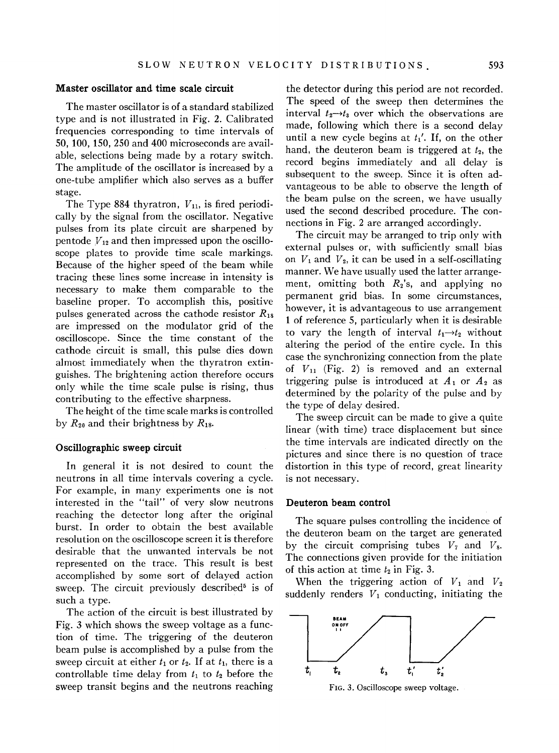## Master oscillator and time scale circuit

The master oscillator is of a standard stabilized type and is not illustrated in Fig. 2. Calibrated frequencies corresponding to time intervals of SO, 100, 150, 250 and 400 microseconds are available, selections being made by a rotary switch. The amplitude of the oscillator is increased by a one-tube amplifier which also serves as a buffer stage.

The Type 884 thyratron,  $V_{11}$ , is fired periodically by the signal from the oscillator. Negative pulses from its plate circuit are sharpened by pentode  $V_{12}$  and then impressed upon the oscilloscope plates to provide time scale markings. Because of the higher speed of the beam while tracing these lines some increase in intensity is necessary to make them comparable to the baseline proper. To accomplish this, positive pulses generated across the cathode resistor *Rig*  are impressed on the modulator grid of the oscilloscope. Since the time constant of the cathode circuit is small, this pulse dies down almost immediately when the thyratron extinguishes. The brightening action therefore occurs only while the time scale pulse is rising, thus contributing to the effective sharpness.

The height of the time scale marks is controlled by *R20* and their brightness by *Rig.* 

## Oscillographic sweep circuit

In general it is not desired to count the neutrons in all time intervals covering a cycle. For example, in many experiments one is not interested in the "tail" of very slow neutrons reaching the detector long after the original burst. In order to obtain the best available resolution on the oscilloscope screen it is therefore desirable that the unwanted intervals be not represented on the trace. This result is best accomplished by some sort of delayed action sweep. The circuit previously described<sup>5</sup> is of such a type.

The action of the circuit is best illustrated by Fig. 3 which shows the sweep voltage as a function of time. The triggering of the deuteron beam pulse is accomplished by a pulse from the sweep circuit at either  $t_1$  or  $t_2$ . If at  $t_1$ , there is a controllable time delay from  $t_1$  to  $t_2$  before the sweep transit begins and the neutrons reaching

the detector during this period are not recorded. The speed of the sweep then determines the interval  $t_2 \rightarrow t_3$  over which the observations are made, following which there is a second delay until a new cycle begins at  $t_1'$ . If, on the other hand, the deuteron beam is triggered at  $t_2$ , the record begins immediately and all delay is subsequent to the sweep. Since it is often advantageous to be able to observe the length of the beam pulse on the screen, we have usually used the second described procedure. The connections in Fig. 2 are arranged accordingly.

The circuit may be arranged to trip only with external pulses or, with sufficiently small bias on  $V_1$  and  $V_2$ , it can be used in a self-oscillating manner. We have usually used the latter arrangement, omitting both *R2's,* and applying no permanent grid bias. In some circumstances, however, it is advantageous to use arrangement 1 of reference 5, particularly when it is desirable to vary the length of interval  $t_1 \rightarrow t_2$  without altering the period of the entire cycle. In this case the synchronizing connection from the plate of  $V_{11}$  (Fig. 2) is removed and an external triggering pulse is introduced at  $A_1$  or  $A_2$  as determined by the polarity of the pulse and by the type of delay desired.

The sweep circuit can be made to give a quite linear (with time) trace displacement but since the time intervals are indicated directly on the pictures and since there is no question of trace distortion in this type of record, great linearity is not necessary.

#### Deuteron beam control

The square pulses controlling the incidence of the deuteron beam on the target are generated by the circuit comprising tubes  $V_7$  and  $V_8$ . The connections given provide for the initiation of this action at time  $t_2$  in Fig. 3.

When the triggering action of  $V_1$  and  $V_2$ suddenly renders  $V_1$  conducting, initiating the



FIG. 3. Oscilloscope sweep voltage.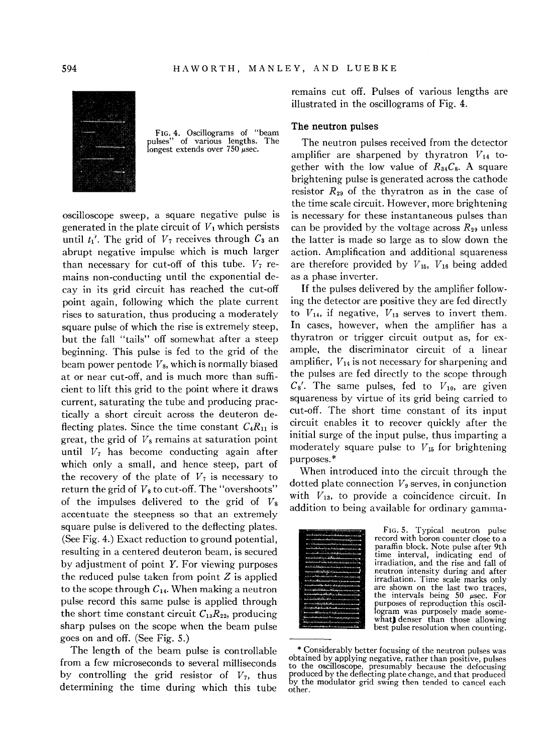

FIG. 4. Oscillograms of "beam pulses" of various lengths. The longest extends over  $750 \mu$ sec.

oscilloscope sweep, a square negative pulse is generated in the plate circuit of  $V_1$  which persists until  $t_1'$ . The grid of  $V_7$  receives through  $C_3$  an abrupt negative impulse which is much larger than necessary for cut-off of this tube.  $V_7$  remains non-conducting until the exponential decay in its grid circuit has reached the cut-off point again, following which the plate current rises to saturation, thus producing a moderately square pulse of which the rise is extremely steep, but the fall "tails" off somewhat after a steep beginning. This pulse is fed to the grid of the beam power pentode *V*8, which is normally biased at or near cut-off, and is much more than sufficient to lift this grid to the point where it draws current, saturating the tube and producing practically a short circuit across the deuteron deflecting plates. Since the time constant  $C_4R_{11}$  is great, the grid of  $V_8$  remains at saturation point until V*7* has become conducting again after which only a small, and hence steep, part of the recovery of the plate of  $V_7$  is necessary to return the grid of  $V_8$  to cut-off. The "overshoots" of the impulses delivered to the grid of *V8*  accentuate the steepness so that an extremely square pulse is delivered to the deflecting plates. (See Fig. 4.) Exact reduction to ground potential, resulting in a centered deuteron beam, is secured by adjustment of point *Y.* For viewing purposes the reduced pulse taken from point  $Z$  is applied to the scope through  $C_{14}$ . When making a neutron pulse record this same pulse is applied through the short time constant circuit  $C_{13}R_{22}$ , producing sharp pulses on the scope when the beam pulse goes on and off. (See Fig. 5.)

The length of the beam pulse is controllable from a few microseconds to several milliseconds by controlling the grid resistor of V*7,* thus determining the time during which this tube remains cut off. Pulses of various lengths are illustrated in the oscillograms of Fig. 4.

#### The neutron pulses

The neutron pulses received from the detector amplifier are sharpened by thyratron  $V_{14}$  together with the low value of R*34*C*8•* A square brightening pulse is generated across the cathode resistor  $R_{29}$  of the thyratron as in the case of the time scale circuit. However, more brightening is necessary for these instantaneous pulses than can be provided by the voltage across  $R_{29}$  unless the latter is made so large as to slow down the action. Amplification and additional squareness are therefore provided by  $V_{15}$ ,  $V_{16}$  being added as a phase inverter.

If the pulses delivered by the amplifier following the detector are positive they are fed directly to  $V_{14}$ , if negative,  $V_{13}$  serves to invert them. In cases, however, when the amplifier has a thyratron or trigger circuit output as, for example, the discriminator circuit of a linear amplifier, *V14* is not necessary for sharpening and the pulses are fed directly to the scope through  $C_8'$ . The same pulses, fed to  $V_{10}$ , are given squareness by virtue of its grid being carried to cut-off. The short time constant of its input circuit enables it to recover quickly after the initial surge of the input pulse, thus imparting a moderately square pulse to V*15* for brightening purposes.\*

When introduced into the circuit through the dotted plate connection  $V_9$  serves, in conjunction with  $V_{13}$ , to provide a coincidence circuit. In addition to being available for ordinary gamma-



FIG. 5. Typical neutron pulse record with boron counter close to a paraffin block. Note pulse after 9th time interval, indicating end of irradiation, and the rise and fall of neutron intensity during and after irradiation. Time scale marks only are shown on the last two traces, the intervals being  $50$   $\mu$ sec. For purposes of reproduction this oscillogram was purposely made some- what) denser than those allowing best pulse resolution when counting.

<sup>\*</sup> Considerably better focusing of the neutron pulses was<br>obtained by applying negative, rather than positive, pulses<br>to the oscilloscope, presumably because the defocusing<br>produced by the deflecting plate change, and that by the modulator grid swing then tended to cancel each other.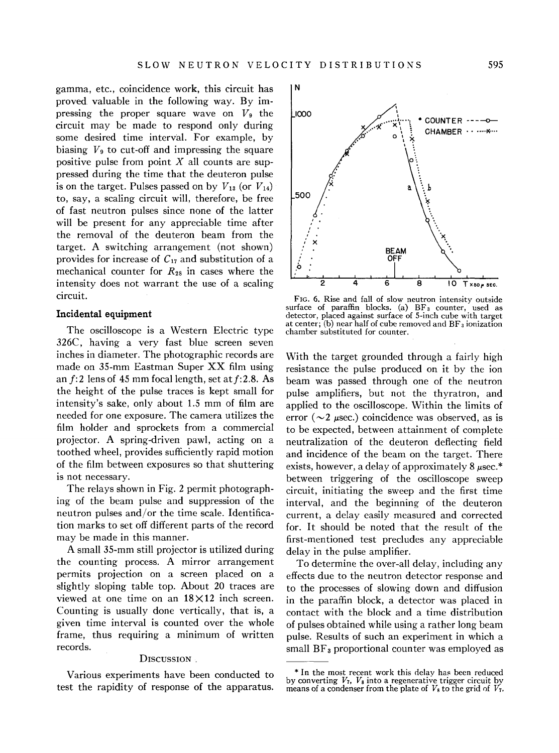gamma, etc., coincidence work, this circuit has proved valuable in the following way. By impressing the proper square wave on  $V_9$  the circuit may be made to respond only during some desired time interval. For example, by biasing  $V_9$  to cut-off and impressing the square positive pulse from point  $X$  all counts are suppressed during the time that the deuteron pulse is on the target. Pulses passed on by  $V_{13}$  (or  $V_{14}$ ) to, say, a scaling circuit will, therefore, be free of fast neutron pulses since none of the latter will be present for any appreciable time after the removal of the deuteron beam from the target. A switching arrangement (not shown) provides for increase of  $C_{17}$  and substitution of a mechanical counter for  $R_{28}$  in cases where the intensity does not warrant the use of a scaling circuit.

#### **Incidental equipment**

The oscilloscope is a Western Electric type 326C, having a very fast blue screen seven inches in diameter. The photographic records are made on 35-mm Eastman Super XX film using an *f:2* lens of 45 mm focal length, set *atf:2.8.* As the height of the pulse traces is kept small for intensity's sake, only about 1.5 mm of film are needed for one exposure. The camera utilizes the film holder and sprockets from a commercial projector. A spring-driven pawl, acting on a toothed wheel, provides sufficiently rapid motion of the film between exposures so that shuttering is not necessary.

The relays shown in Fig. 2 permit photographing of the beam pulse and suppression of the neutron pulses and/or the time scale. Identification marks to set off different parts of the record may be made in this manner.

A small 35-mm still projector is utilized during the counting process. A mirror arrangement permits projection on a screen placed on a slightly sloping table top. About 20 traces are viewed at one time on an  $18 \times 12$  inch screen. Counting is usually done vertically, that is, a given time interval is counted over the whole frame, thus requiring a minimum of written records.

### DISCUSSION.

Various experiments have been conducted to test the rapidity of response of the apparatus.



FIG. 6. Rise and fall of slow neutron intensity outside surface of paraffin blocks. (a)  $BF_3$  counter, used as detector, placed against surface of 5-inch cube with target at center; (b) near half of cube removed and  $BF_3$  ionization chamber substituted for counter.

With the target grounded through a fairly high resistance the pulse produced on it by the ion beam was passed through one of the neutron pulse amplifiers, but not the thyratron, and applied to the oscilloscope. Within the limits of error ( $\sim$ 2  $\mu$ sec.) coincidence was observed, as is to be expected, between attainment of complete neutralization of the deuteron deflecting field and incidence of the beam on the target. There exists, however, a delay of approximately  $8 \mu$ sec.\* between triggering of the oscilloscope sweep circuit, initiating the sweep and the first time interval, and the beginning of the deuteron current, a delay easily measured and corrected for. It should be noted that the result of the first-mentioned test precludes any appreciable delay in the pulse amplifier.

To determine the over-all delay, including any effects due to the neutron detector response and to the processes of slowing down and diffusion in the paraffin block, a detector was placed in contact with the block and a time distribution of pulses obtained while using a rather long beam pulse. Results of such an experiment in which a small  $BF_3$  proportional counter was employed as

<sup>&</sup>lt;sup>\*</sup> In the most recent work this delay has been reduced by converting  $V_7$ ,  $V_8$  into a regenerative trigger circuit by means of a condenser from the plate of  $V_8$  to the grid of  $V_7$ .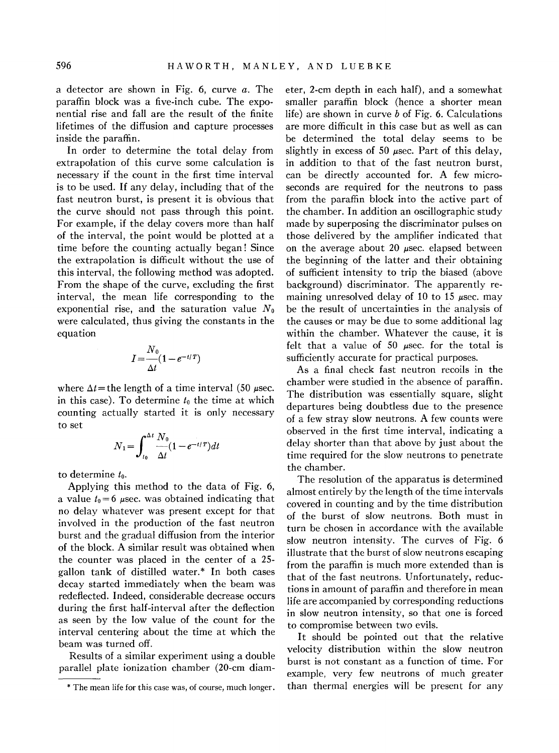a detector are shown in Fig. 6, curve *a.* The paraffin block was a five-inch cube. The exponential rise and fall are the result of the finite lifetimes of the diffusion and capture processes inside the paraffin.

In order to determine the total delay from extrapolation of this curve some calculation is necessary if the count in the first time interval is to be used. If any delay, including that of the fast neutron burst, is present it is obvious that the curve should not pass through this point. For example, if the delay covers more than half of the interval, the point would be plotted at a time before the counting actually began! Since the extrapolation is difficult without the use of this interval, the following method was adopted. From the shape of the curve, excluding the first interval, the mean life corresponding to the exponential rise, and the saturation value  $N_0$ were calculated, thus giving the constants in the equation

$$
I=\frac{N_0}{\Delta t}(1-e^{-t/T})
$$

where  $\Delta t$  = the length of a time interval (50  $\mu$ sec. in this case). To determine  $t_0$  the time at which counting actually started it is only necessary to set

$$
N_1 = \int_{t_0}^{\Delta t} \frac{N_0}{\Delta t} (1 - e^{-t/T}) dt
$$

to determine *to.* 

Applying this method to the data of Fig. 6, a value  $t_0 = 6$  µsec. was obtained indicating that no delay whatever was present except for that involved in the production of the fast neutron burst and the gradual diffusion from the interior of the block. A similar result was obtained when the counter was placed in the center of a 25 gallon tank of distilled water.\* In both cases decay started immediately when the beam was redeflected. Indeed, considerable decrease occurs during the first half-interval after the deflection as seen by the low value of the count for the interval centering about the time at which the beam was turned off.

Results of a similar experiment using a double parallel plate ionization chamber (20-cm diameter, 2-cm depth in each half), and a somewhat smaller paraffin block (hence a shorter mean life) are shown in curve *b* of Fig. 6. Calculations are more difficult in this case but as well as can be determined the total delay seems to be slightly in excess of 50  $\mu$ sec. Part of this delay, in addition to that of the fast neutron burst, can be directly accounted for. A few microseconds are required for the neutrons to pass from the paraffin block into the active part of the chamber. In addition an oscillographic study made by superposing the discriminator pulses on those delivered by the amplifier indicated that on the average about 20  $\mu$ sec. elapsed between the beginning of the latter and their obtaining of sufficient intensity to trip the biased (above background) discriminator. The apparently remaining unresolved delay of 10 to 15  $\mu$ sec. may be the result of uncertainties in the analysis of the causes or may be due to some additional lag within the chamber. Whatever the cause, it is felt that a value of 50  $\mu$ sec. for the total is sufficiently accurate for practical purposes.

As a final check fast neutron recoils in the chamber were studied in the absence of paraffin. The distribution was essentially square, slight departures being doubtless due to the presence of a few stray slow neutrons. A few counts were observed in the first time interval, indicating a delay shorter than that above by just about the time required for the slow neutrons to penetrate the chamber.

The resolution of the apparatus is determined almost entirely by the length of the time intervals covered in counting and by the time distribution of the burst of slow neutrons. Both must in turn be chosen in accordance with the available slow neutron intensity. The curves of Fig. 6 illustrate that the burst of slow neutrons escaping from the paraffin is much more extended than is that of the fast neutrons. Unfortunately, reductions in amount of paraffin and therefore in mean life are accompanied by corresponding reductions in slow neutron intensity, so that one is forced to compromise between two evils.

It should be pointed out that the relative velocity distribution within the slow neutron burst is not constant as a function of time. For example, very few neutrons of much greater than thermal energies will be present for any

<sup>\*</sup> The mean life for this case was, of course, much longer.